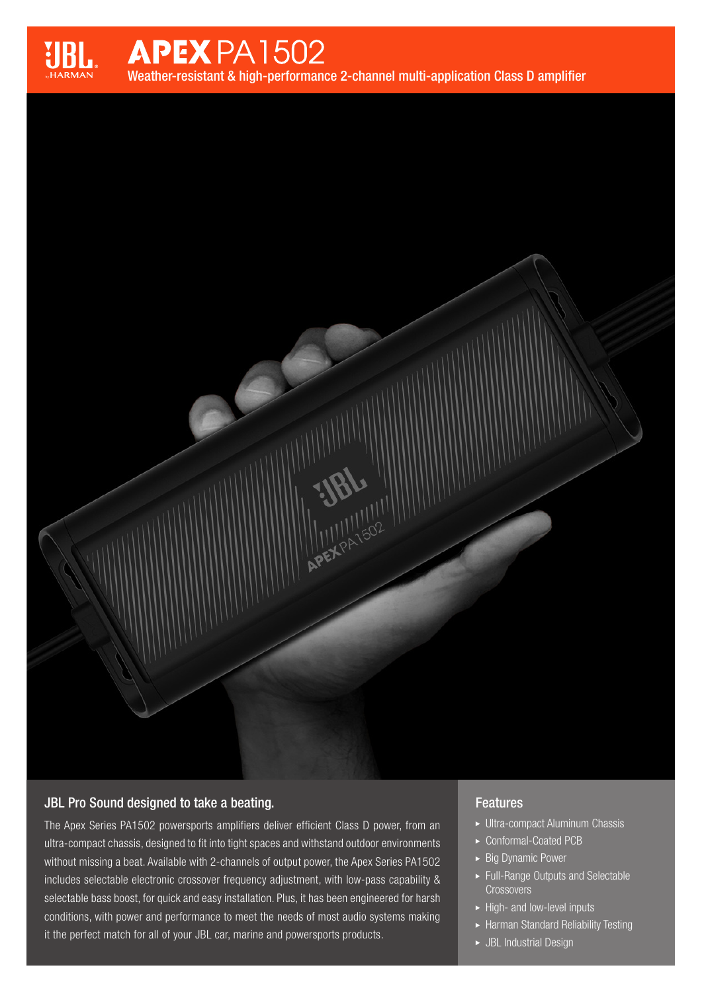

# **APEX PA1502** Weather-resistant & high-performance 2-channel multi-application Class D amplifier

**APEXPATSO2** 

# JBL Pro Sound designed to take a beating.

The Apex Series PA1502 powersports amplifiers deliver efficient Class D power, from an ultra-compact chassis, designed to fit into tight spaces and withstand outdoor environments without missing a beat. Available with 2-channels of output power, the Apex Series PA1502 includes selectable electronic crossover frequency adjustment, with low-pass capability & selectable bass boost, for quick and easy installation. Plus, it has been engineered for harsh conditions, with power and performance to meet the needs of most audio systems making it the perfect match for all of your JBL car, marine and powersports products.

# **Features**

- Ultra-compact Aluminum Chassis
- ► Conformal-Coated PCB
- **Big Dynamic Power**
- Full-Range Outputs and Selectable **Crossovers**
- $\blacktriangleright$  High- and low-level inputs
- Harman Standard Reliability Testing
- JBL Industrial Design